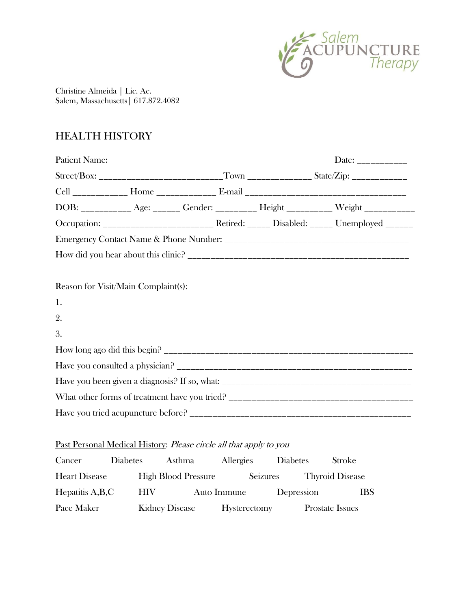

Christine Almeida | Lic. Ac. Salem, Massachusetts| 617.872.4082

## HEALTH HISTORY

| Street/Box: _____________________________Town __________________State/Zip: _________________________ |  |  |  |                                                                                        |  |  |  |
|------------------------------------------------------------------------------------------------------|--|--|--|----------------------------------------------------------------------------------------|--|--|--|
|                                                                                                      |  |  |  |                                                                                        |  |  |  |
|                                                                                                      |  |  |  | DOB: ____________ Age: _______ Gender: __________ Height __________ Weight ___________ |  |  |  |
|                                                                                                      |  |  |  |                                                                                        |  |  |  |
|                                                                                                      |  |  |  |                                                                                        |  |  |  |
|                                                                                                      |  |  |  |                                                                                        |  |  |  |
|                                                                                                      |  |  |  |                                                                                        |  |  |  |
| Reason for Visit/Main Complaint(s):                                                                  |  |  |  |                                                                                        |  |  |  |
| 1.                                                                                                   |  |  |  |                                                                                        |  |  |  |
| 2.                                                                                                   |  |  |  |                                                                                        |  |  |  |
| 3.                                                                                                   |  |  |  |                                                                                        |  |  |  |
|                                                                                                      |  |  |  |                                                                                        |  |  |  |
|                                                                                                      |  |  |  |                                                                                        |  |  |  |
|                                                                                                      |  |  |  |                                                                                        |  |  |  |
|                                                                                                      |  |  |  |                                                                                        |  |  |  |
|                                                                                                      |  |  |  |                                                                                        |  |  |  |
|                                                                                                      |  |  |  |                                                                                        |  |  |  |

## Past Personal Medical History: Please circle all that apply to you

| Cancer               | <b>Diabetes</b> | Asthma                     | Allergies           | <b>Diabetes</b> | <b>Stroke</b>          |
|----------------------|-----------------|----------------------------|---------------------|-----------------|------------------------|
| <b>Heart Disease</b> |                 | <b>High Blood Pressure</b> | Seizures            |                 | <b>Thyroid Disease</b> |
| Hepatitis A,B,C      | HIV-            |                            | Auto Immune         | Depression      | <b>IBS</b>             |
| Pace Maker           |                 | <b>Kidney Disease</b>      | <b>Hysterectomy</b> |                 | <b>Prostate Issues</b> |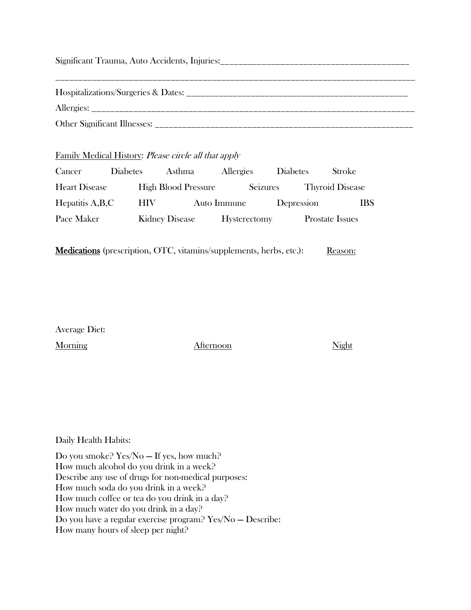| Other Significant Illnesses: |
|------------------------------|

## Family Medical History: Please circle all that apply

| Cancer               | <b>Diabetes</b> | Asthma                     | Allergies           | <b>Diabetes</b> | <b>Stroke</b>          |
|----------------------|-----------------|----------------------------|---------------------|-----------------|------------------------|
| <b>Heart Disease</b> |                 | <b>High Blood Pressure</b> | Seizures            |                 | <b>Thyroid Disease</b> |
| Hepatitis A,B,C      | HIV-            |                            | Auto Immune         | Depression      | <b>IBS</b>             |
| Pace Maker           |                 | <b>Kidney Disease</b>      | <b>Hysterectomy</b> |                 | <b>Prostate Issues</b> |

Medications (prescription, OTC, vitamins/supplements, herbs, etc.): Reason:

Average Diet:

Morning Might

Daily Health Habits:

Do you smoke? Yes/No — If yes, how much? How much alcohol do you drink in a week? Describe any use of drugs for non-medical purposes: How much soda do you drink in a week? How much coffee or tea do you drink in a day? How much water do you drink in a day? Do you have a regular exercise program? Yes/No — Describe: How many hours of sleep per night?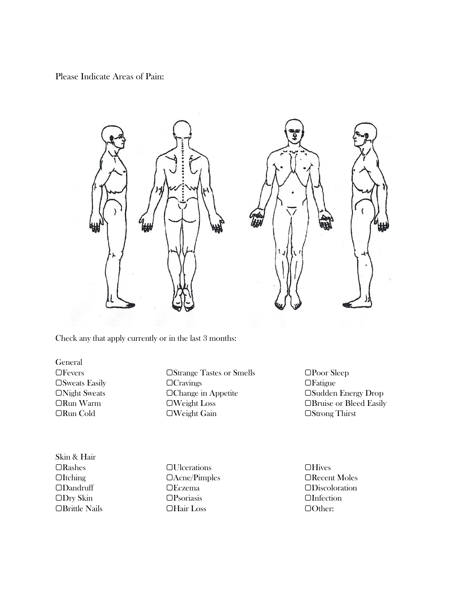Please Indicate Areas of Pain:





Check any that apply currently or in the last 3 months:

General

▢Fevers ▢Strange Tastes or Smells ▢Poor Sleep ▢Sweats Easily ▢Cravings ▢Fatigue ▢Night Sweats ▢Change in Appetite ▢Sudden Energy Drop ▢Run Warm ▢Weight Loss ▢Bruise or Bleed Easily ▢Run Cold ▢Weight Gain ▢Strong Thirst

Skin & Hair ▢Rashes ▢Ulcerations ▢Hives

▢Dry Skin ▢Psoriasis ▢Infection ▢Brittle Nails ▢Hair Loss ▢Other:

▢Itching ▢Acne/Pimples ▢Recent Moles ▢Dandruff ▢Eczema ▢Discoloration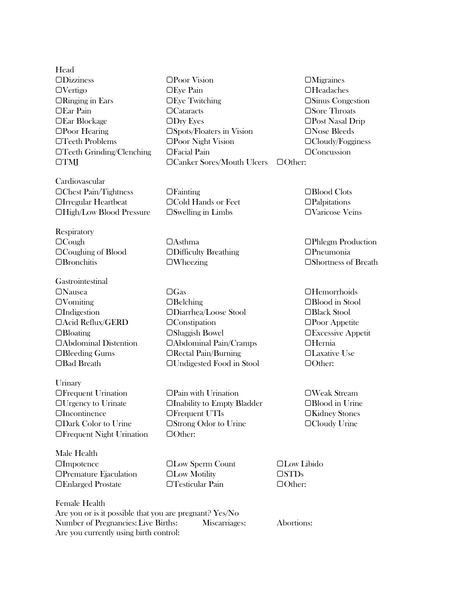Head ▢Dizziness ▢Poor Vision ▢Migraines

Cardiovascular ▢Chest Pain/Tightness ▢Fainting ▢Blood Clots ▢Irregular Heartbeat ▢Cold Hands or Feet ▢Palpitations ▢High/Low Blood Pressure ▢Swelling in Limbs ▢Varicose Veins

**Respiratory** 

Gastrointestinal ▢Nausea ▢Gas ▢Hemorrhoids ▢Bad Breath ▢Undigested Food in Stool ▢Other:

**Urinary** ▢Frequent Urination ▢Pain with Urination ▢Weak Stream ▢Frequent Night Urination ▢Other:

Male Health ▢Impotence ▢Low Sperm Count ▢Low Libido ▢Premature Ejaculation ▢Low Motility ▢STDs ▢Enlarged Prostate ▢Testicular Pain ▢Other:

Female Health Are you or is it possible that you are pregnant? Yes/No Number of Pregnancies: Live Births: Miscarriages: Abortions: Are you currently using birth control:

▢Vertigo ▢Eye Pain ▢Headaches ▢Ringing in Ears ▢Eye Twitching ▢Sinus Congestion ▢Ear Pain ▢Cataracts ▢Sore Throats ▢Ear Blockage ▢Dry Eyes ▢Post Nasal Drip ▢Poor Hearing ▢Spots/Floaters in Vision ▢Nose Bleeds ▢Teeth Problems ▢Poor Night Vision ▢Cloudy/Fogginess ▢Teeth Grinding/Clenching ▢Facial Pain ▢Concussion ▢TMJ ▢Canker Sores/Mouth Ulcers ▢Other:

▢Cough ▢Asthma ▢Phlegm Production ▢Coughing of Blood ▢Difficulty Breathing ▢Pneumonia

▢Vomiting ▢Belching ▢Blood in Stool ▢Indigestion ▢Diarrhea/Loose Stool ▢Black Stool ▢Acid Reflux/GERD ▢Constipation ▢Poor Appetite ▢Bloating ▢Sluggish Bowel ▢Excessive Appetit ▢Abdominal Distention ▢Abdominal Pain/Cramps ▢Hernia ▢Bleeding Gums ▢Rectal Pain/Burning ▢Laxative Use

▢Urgency to Urinate ▢Inability to Empty Bladder ▢Blood in Urine ▢Incontinence ▢Frequent UTIs ▢Kidney Stones ▢Dark Color to Urine ▢Strong Odor to Urine ▢Cloudy Urine

▢Bronchitis ▢Wheezing ▢Shortness of Breath